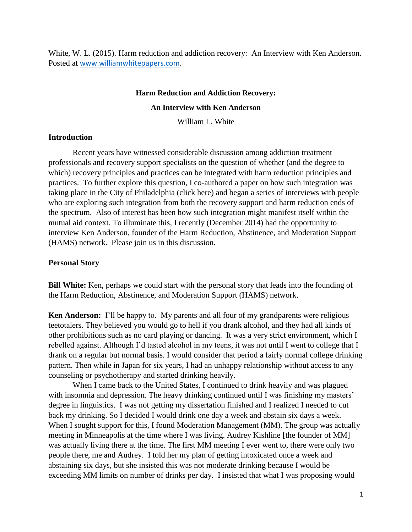White, W. L. (2015). Harm reduction and addiction recovery: An Interview with Ken Anderson. Posted at [www.williamwhitepapers.com](http://www.williamwhitepapers.com/).

#### **Harm Reduction and Addiction Recovery:**

### **An Interview with Ken Anderson**

William L. White

### **Introduction**

Recent years have witnessed considerable discussion among addiction treatment professionals and recovery support specialists on the question of whether (and the degree to which) recovery principles and practices can be integrated with harm reduction principles and practices. To further explore this question, I co-authored a paper on how such integration was taking place in the City of Philadelphia (click here) and began a series of interviews with people who are exploring such integration from both the recovery support and harm reduction ends of the spectrum. Also of interest has been how such integration might manifest itself within the mutual aid context. To illuminate this, I recently (December 2014) had the opportunity to interview Ken Anderson, founder of the Harm Reduction, Abstinence, and Moderation Support (HAMS) network. Please join us in this discussion.

### **Personal Story**

**Bill White:** Ken, perhaps we could start with the personal story that leads into the founding of the Harm Reduction, Abstinence, and Moderation Support (HAMS) network.

**Ken Anderson:** I'll be happy to. My parents and all four of my grandparents were religious teetotalers. They believed you would go to hell if you drank alcohol, and they had all kinds of other prohibitions such as no card playing or dancing. It was a very strict environment, which I rebelled against. Although I'd tasted alcohol in my teens, it was not until I went to college that I drank on a regular but normal basis. I would consider that period a fairly normal college drinking pattern. Then while in Japan for six years, I had an unhappy relationship without access to any counseling or psychotherapy and started drinking heavily.

When I came back to the United States, I continued to drink heavily and was plagued with insomnia and depression. The heavy drinking continued until I was finishing my masters' degree in linguistics. I was not getting my dissertation finished and I realized I needed to cut back my drinking. So I decided I would drink one day a week and abstain six days a week. When I sought support for this, I found Moderation Management (MM). The group was actually meeting in Minneapolis at the time where I was living. Audrey Kishline [the founder of MM] was actually living there at the time. The first MM meeting I ever went to, there were only two people there, me and Audrey. I told her my plan of getting intoxicated once a week and abstaining six days, but she insisted this was not moderate drinking because I would be exceeding MM limits on number of drinks per day. I insisted that what I was proposing would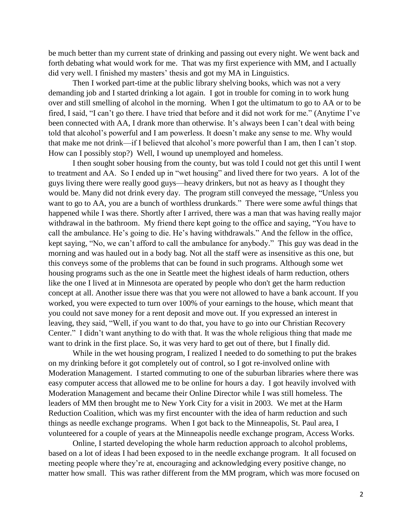be much better than my current state of drinking and passing out every night. We went back and forth debating what would work for me. That was my first experience with MM, and I actually did very well. I finished my masters' thesis and got my MA in Linguistics.

Then I worked part-time at the public library shelving books, which was not a very demanding job and I started drinking a lot again. I got in trouble for coming in to work hung over and still smelling of alcohol in the morning. When I got the ultimatum to go to AA or to be fired, I said, "I can't go there. I have tried that before and it did not work for me." (Anytime I've been connected with AA, I drank more than otherwise. It's always been I can't deal with being told that alcohol's powerful and I am powerless. It doesn't make any sense to me. Why would that make me not drink—if I believed that alcohol's more powerful than I am, then I can't stop. How can I possibly stop?) Well, I wound up unemployed and homeless.

I then sought sober housing from the county, but was told I could not get this until I went to treatment and AA. So I ended up in "wet housing" and lived there for two years. A lot of the guys living there were really good guys—heavy drinkers, but not as heavy as I thought they would be. Many did not drink every day. The program still conveyed the message, "Unless you want to go to AA, you are a bunch of worthless drunkards." There were some awful things that happened while I was there. Shortly after I arrived, there was a man that was having really major withdrawal in the bathroom. My friend there kept going to the office and saying, "You have to call the ambulance. He's going to die. He's having withdrawals." And the fellow in the office, kept saying, "No, we can't afford to call the ambulance for anybody." This guy was dead in the morning and was hauled out in a body bag. Not all the staff were as insensitive as this one, but this conveys some of the problems that can be found in such programs. Although some wet housing programs such as the one in Seattle meet the highest ideals of harm reduction, others like the one I lived at in Minnesota are operated by people who don't get the harm reduction concept at all. Another issue there was that you were not allowed to have a bank account. If you worked, you were expected to turn over 100% of your earnings to the house, which meant that you could not save money for a rent deposit and move out. If you expressed an interest in leaving, they said, "Well, if you want to do that, you have to go into our Christian Recovery Center." I didn't want anything to do with that. It was the whole religious thing that made me want to drink in the first place. So, it was very hard to get out of there, but I finally did.

While in the wet housing program, I realized I needed to do something to put the brakes on my drinking before it got completely out of control, so I got re-involved online with Moderation Management. I started commuting to one of the suburban libraries where there was easy computer access that allowed me to be online for hours a day. I got heavily involved with Moderation Management and became their Online Director while I was still homeless. The leaders of MM then brought me to New York City for a visit in 2003. We met at the Harm Reduction Coalition, which was my first encounter with the idea of harm reduction and such things as needle exchange programs. When I got back to the Minneapolis, St. Paul area, I volunteered for a couple of years at the Minneapolis needle exchange program, Access Works.

Online, I started developing the whole harm reduction approach to alcohol problems, based on a lot of ideas I had been exposed to in the needle exchange program. It all focused on meeting people where they're at, encouraging and acknowledging every positive change, no matter how small. This was rather different from the MM program, which was more focused on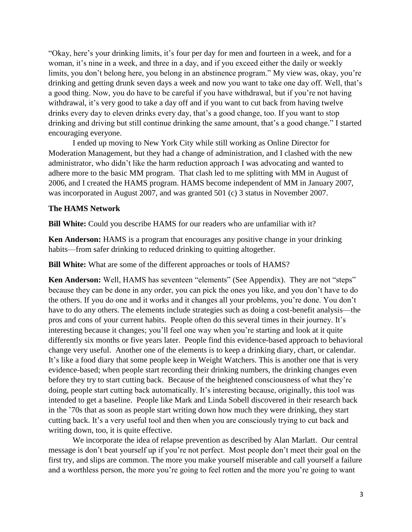"Okay, here's your drinking limits, it's four per day for men and fourteen in a week, and for a woman, it's nine in a week, and three in a day, and if you exceed either the daily or weekly limits, you don't belong here, you belong in an abstinence program." My view was, okay, you're drinking and getting drunk seven days a week and now you want to take one day off. Well, that's a good thing. Now, you do have to be careful if you have withdrawal, but if you're not having withdrawal, it's very good to take a day off and if you want to cut back from having twelve drinks every day to eleven drinks every day, that's a good change, too. If you want to stop drinking and driving but still continue drinking the same amount, that's a good change." I started encouraging everyone.

I ended up moving to New York City while still working as Online Director for Moderation Management, but they had a change of administration, and I clashed with the new administrator, who didn't like the harm reduction approach I was advocating and wanted to adhere more to the basic MM program. That clash led to me splitting with MM in August of 2006, and I created the HAMS program. HAMS become independent of MM in January 2007, was incorporated in August 2007, and was granted 501 (c) 3 status in November 2007.

### **The HAMS Network**

**Bill White:** Could you describe HAMS for our readers who are unfamiliar with it?

**Ken Anderson:** HAMS is a program that encourages any positive change in your drinking habits—from safer drinking to reduced drinking to quitting altogether.

**Bill White:** What are some of the different approaches or tools of HAMS?

**Ken Anderson:** Well, HAMS has seventeen "elements" (See Appendix). They are not "steps" because they can be done in any order, you can pick the ones you like, and you don't have to do the others. If you do one and it works and it changes all your problems, you're done. You don't have to do any others. The elements include strategies such as doing a cost-benefit analysis—the pros and cons of your current habits. People often do this several times in their journey. It's interesting because it changes; you'll feel one way when you're starting and look at it quite differently six months or five years later. People find this evidence-based approach to behavioral change very useful. Another one of the elements is to keep a drinking diary, chart, or calendar. It's like a food diary that some people keep in Weight Watchers. This is another one that is very evidence-based; when people start recording their drinking numbers, the drinking changes even before they try to start cutting back. Because of the heightened consciousness of what they're doing, people start cutting back automatically. It's interesting because, originally, this tool was intended to get a baseline. People like Mark and Linda Sobell discovered in their research back in the '70s that as soon as people start writing down how much they were drinking, they start cutting back. It's a very useful tool and then when you are consciously trying to cut back and writing down, too, it is quite effective.

We incorporate the idea of relapse prevention as described by Alan Marlatt. Our central message is don't beat yourself up if you're not perfect. Most people don't meet their goal on the first try, and slips are common. The more you make yourself miserable and call yourself a failure and a worthless person, the more you're going to feel rotten and the more you're going to want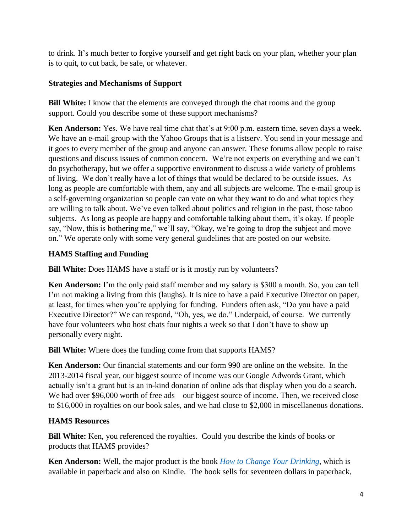to drink. It's much better to forgive yourself and get right back on your plan, whether your plan is to quit, to cut back, be safe, or whatever.

## **Strategies and Mechanisms of Support**

**Bill White:** I know that the elements are conveyed through the chat rooms and the group support. Could you describe some of these support mechanisms?

**Ken Anderson:** Yes. We have real time chat that's at 9:00 p.m. eastern time, seven days a week. We have an e-mail group with the Yahoo Groups that is a listserv. You send in your message and it goes to every member of the group and anyone can answer. These forums allow people to raise questions and discuss issues of common concern. We're not experts on everything and we can't do psychotherapy, but we offer a supportive environment to discuss a wide variety of problems of living. We don't really have a lot of things that would be declared to be outside issues. As long as people are comfortable with them, any and all subjects are welcome. The e-mail group is a self-governing organization so people can vote on what they want to do and what topics they are willing to talk about. We've even talked about politics and religion in the past, those taboo subjects. As long as people are happy and comfortable talking about them, it's okay. If people say, "Now, this is bothering me," we'll say, "Okay, we're going to drop the subject and move on." We operate only with some very general guidelines that are posted on our website.

## **HAMS Staffing and Funding**

**Bill White:** Does HAMS have a staff or is it mostly run by volunteers?

**Ken Anderson:** I'm the only paid staff member and my salary is \$300 a month. So, you can tell I'm not making a living from this (laughs). It is nice to have a paid Executive Director on paper, at least, for times when you're applying for funding. Funders often ask, "Do you have a paid Executive Director?" We can respond, "Oh, yes, we do." Underpaid, of course. We currently have four volunteers who host chats four nights a week so that I don't have to show up personally every night.

**Bill White:** Where does the funding come from that supports HAMS?

**Ken Anderson:** Our financial statements and our form 990 are online on the website. In the 2013-2014 fiscal year, our biggest source of income was our Google Adwords Grant, which actually isn't a grant but is an in-kind donation of online ads that display when you do a search. We had over \$96,000 worth of free ads—our biggest source of income. Then, we received close to \$16,000 in royalties on our book sales, and we had close to \$2,000 in miscellaneous donations.

## **HAMS Resources**

**Bill White:** Ken, you referenced the royalties. Could you describe the kinds of books or products that HAMS provides?

**Ken Anderson:** Well, the major product is the book *[How to Change Your Drinking](http://www.amazon.com/gp/product/145383060X/ref=as_li_ss_tl?ie=UTF8&camp=211189&creative=373489&creativeASIN=145383060X&link_code=as3&tag=thhaharene-20)*, which is available in paperback and also on Kindle. The book sells for seventeen dollars in paperback,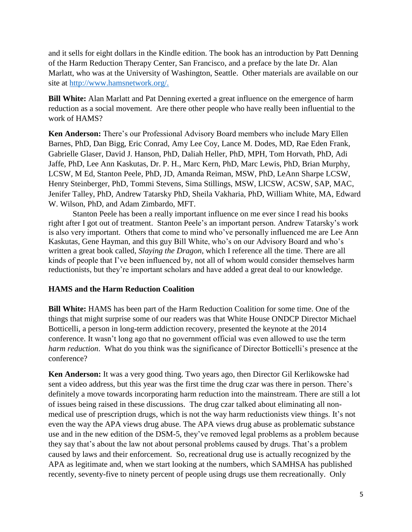and it sells for eight dollars in the Kindle edition. The book has an introduction by Patt Denning of the Harm Reduction Therapy Center, San Francisco, and a preface by the late Dr. Alan Marlatt, who was at the University of Washington, Seattle. Other materials are available on our site at [http://www.hamsnetwork.org/.](http://www.hamsnetwork.org/)

**Bill White:** Alan Marlatt and Pat Denning exerted a great influence on the emergence of harm reduction as a social movement. Are there other people who have really been influential to the work of HAMS?

**Ken Anderson:** There's our Professional Advisory Board members who include Mary Ellen Barnes, PhD, Dan Bigg, Eric Conrad, Amy Lee Coy, Lance M. Dodes, MD, Rae Eden Frank, Gabrielle Glaser, David J. Hanson, PhD, Daliah Heller, PhD, MPH, Tom Horvath, PhD, Adi Jaffe, PhD, Lee Ann Kaskutas, Dr. P. H., Marc Kern, PhD, Marc Lewis, PhD, Brian Murphy, LCSW, M Ed, Stanton Peele, PhD, JD, Amanda Reiman, MSW, PhD, LeAnn Sharpe LCSW, Henry Steinberger, PhD, Tommi Stevens, Sima Stillings, MSW, LICSW, ACSW, SAP, MAC, Jenifer Talley, PhD, Andrew Tatarsky PhD, Sheila Vakharia, PhD, William White, MA, Edward W. Wilson, PhD, and Adam Zimbardo, MFT.

Stanton Peele has been a really important influence on me ever since I read his books right after I got out of treatment. Stanton Peele's an important person. Andrew Tatarsky's work is also very important. Others that come to mind who've personally influenced me are Lee Ann Kaskutas, Gene Hayman, and this guy Bill White, who's on our Advisory Board and who's written a great book called, *Slaying the Dragon*, which I reference all the time. There are all kinds of people that I've been influenced by, not all of whom would consider themselves harm reductionists, but they're important scholars and have added a great deal to our knowledge.

## **HAMS and the Harm Reduction Coalition**

**Bill White:** HAMS has been part of the Harm Reduction Coalition for some time. One of the things that might surprise some of our readers was that White House ONDCP Director Michael Botticelli, a person in long-term addiction recovery, presented the keynote at the 2014 conference. It wasn't long ago that no government official was even allowed to use the term *harm reduction*. What do you think was the significance of Director Botticelli's presence at the conference?

**Ken Anderson:** It was a very good thing. Two years ago, then Director Gil Kerlikowske had sent a video address, but this year was the first time the drug czar was there in person. There's definitely a move towards incorporating harm reduction into the mainstream. There are still a lot of issues being raised in these discussions. The drug czar talked about eliminating all nonmedical use of prescription drugs, which is not the way harm reductionists view things. It's not even the way the APA views drug abuse. The APA views drug abuse as problematic substance use and in the new edition of the DSM-5, they've removed legal problems as a problem because they say that's about the law not about personal problems caused by drugs. That's a problem caused by laws and their enforcement. So, recreational drug use is actually recognized by the APA as legitimate and, when we start looking at the numbers, which SAMHSA has published recently, seventy-five to ninety percent of people using drugs use them recreationally. Only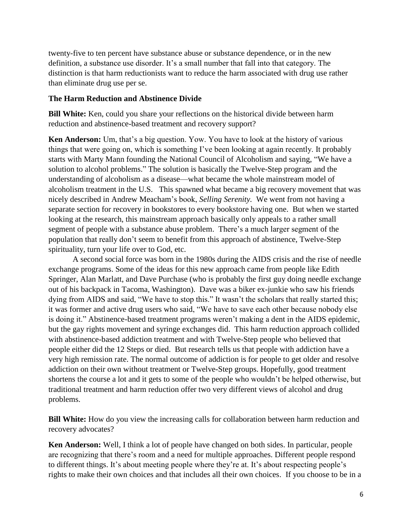twenty-five to ten percent have substance abuse or substance dependence, or in the new definition, a substance use disorder. It's a small number that fall into that category. The distinction is that harm reductionists want to reduce the harm associated with drug use rather than eliminate drug use per se.

### **The Harm Reduction and Abstinence Divide**

**Bill White:** Ken, could you share your reflections on the historical divide between harm reduction and abstinence-based treatment and recovery support?

**Ken Anderson:** Um, that's a big question. Yow. You have to look at the history of various things that were going on, which is something I've been looking at again recently. It probably starts with Marty Mann founding the National Council of Alcoholism and saying, "We have a solution to alcohol problems." The solution is basically the Twelve-Step program and the understanding of alcoholism as a disease—what became the whole mainstream model of alcoholism treatment in the U.S. This spawned what became a big recovery movement that was nicely described in Andrew Meacham's book, *Selling Serenity.* We went from not having a separate section for recovery in bookstores to every bookstore having one. But when we started looking at the research, this mainstream approach basically only appeals to a rather small segment of people with a substance abuse problem. There's a much larger segment of the population that really don't seem to benefit from this approach of abstinence, Twelve-Step spirituality, turn your life over to God, etc.

A second social force was born in the 1980s during the AIDS crisis and the rise of needle exchange programs. Some of the ideas for this new approach came from people like Edith Springer, Alan Marlatt, and Dave Purchase (who is probably the first guy doing needle exchange out of his backpack in Tacoma, Washington). Dave was a biker ex-junkie who saw his friends dying from AIDS and said, "We have to stop this." It wasn't the scholars that really started this; it was former and active drug users who said, "We have to save each other because nobody else is doing it." Abstinence-based treatment programs weren't making a dent in the AIDS epidemic, but the gay rights movement and syringe exchanges did. This harm reduction approach collided with abstinence-based addiction treatment and with Twelve-Step people who believed that people either did the 12 Steps or died. But research tells us that people with addiction have a very high remission rate. The normal outcome of addiction is for people to get older and resolve addiction on their own without treatment or Twelve-Step groups. Hopefully, good treatment shortens the course a lot and it gets to some of the people who wouldn't be helped otherwise, but traditional treatment and harm reduction offer two very different views of alcohol and drug problems.

**Bill White:** How do you view the increasing calls for collaboration between harm reduction and recovery advocates?

**Ken Anderson:** Well, I think a lot of people have changed on both sides. In particular, people are recognizing that there's room and a need for multiple approaches. Different people respond to different things. It's about meeting people where they're at. It's about respecting people's rights to make their own choices and that includes all their own choices. If you choose to be in a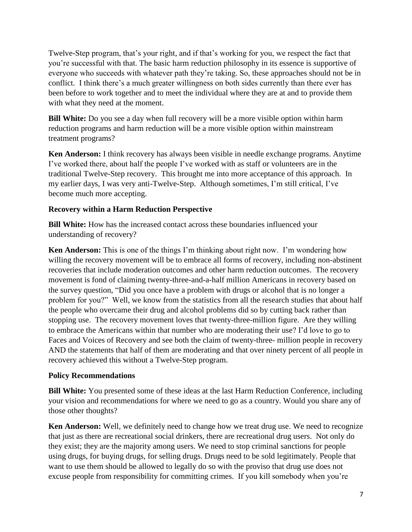Twelve-Step program, that's your right, and if that's working for you, we respect the fact that you're successful with that. The basic harm reduction philosophy in its essence is supportive of everyone who succeeds with whatever path they're taking. So, these approaches should not be in conflict. I think there's a much greater willingness on both sides currently than there ever has been before to work together and to meet the individual where they are at and to provide them with what they need at the moment.

**Bill White:** Do you see a day when full recovery will be a more visible option within harm reduction programs and harm reduction will be a more visible option within mainstream treatment programs?

**Ken Anderson:** I think recovery has always been visible in needle exchange programs. Anytime I've worked there, about half the people I've worked with as staff or volunteers are in the traditional Twelve-Step recovery. This brought me into more acceptance of this approach. In my earlier days, I was very anti-Twelve-Step. Although sometimes, I'm still critical, I've become much more accepting.

## **Recovery within a Harm Reduction Perspective**

**Bill White:** How has the increased contact across these boundaries influenced your understanding of recovery?

**Ken Anderson:** This is one of the things I'm thinking about right now. I'm wondering how willing the recovery movement will be to embrace all forms of recovery, including non-abstinent recoveries that include moderation outcomes and other harm reduction outcomes. The recovery movement is fond of claiming twenty-three-and-a-half million Americans in recovery based on the survey question, "Did you once have a problem with drugs or alcohol that is no longer a problem for you?" Well, we know from the statistics from all the research studies that about half the people who overcame their drug and alcohol problems did so by cutting back rather than stopping use. The recovery movement loves that twenty-three-million figure. Are they willing to embrace the Americans within that number who are moderating their use? I'd love to go to Faces and Voices of Recovery and see both the claim of twenty-three- million people in recovery AND the statements that half of them are moderating and that over ninety percent of all people in recovery achieved this without a Twelve-Step program.

## **Policy Recommendations**

**Bill White:** You presented some of these ideas at the last Harm Reduction Conference, including your vision and recommendations for where we need to go as a country. Would you share any of those other thoughts?

**Ken Anderson:** Well, we definitely need to change how we treat drug use. We need to recognize that just as there are recreational social drinkers, there are recreational drug users. Not only do they exist; they are the majority among users. We need to stop criminal sanctions for people using drugs, for buying drugs, for selling drugs. Drugs need to be sold legitimately. People that want to use them should be allowed to legally do so with the proviso that drug use does not excuse people from responsibility for committing crimes. If you kill somebody when you're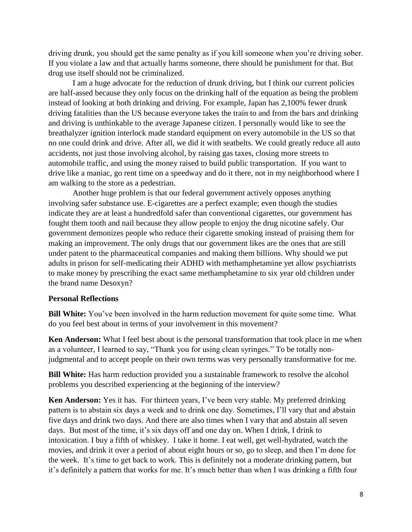driving drunk, you should get the same penalty as if you kill someone when you're driving sober. If you violate a law and that actually harms someone, there should be punishment for that. But drug use itself should not be criminalized.

I am a huge advocate for the reduction of drunk driving, but I think our current policies are half-assed because they only focus on the drinking half of the equation as being the problem instead of looking at both drinking and driving. For example, Japan has 2,100% fewer drunk driving fatalities than the US because everyone takes the train to and from the bars and drinking and driving is unthinkable to the average Japanese citizen. I personally would like to see the breathalyzer ignition interlock made standard equipment on every automobile in the US so that no one could drink and drive. After all, we did it with seatbelts. We could greatly reduce all auto accidents, not just those involving alcohol, by raising gas taxes, closing more streets to automobile traffic, and using the money raised to build public transportation. If you want to drive like a maniac, go rent time on a speedway and do it there, not in my neighborhood where I am walking to the store as a pedestrian.

Another huge problem is that our federal government actively opposes anything involving safer substance use. E-cigarettes are a perfect example; even though the studies indicate they are at least a hundredfold safer than conventional cigarettes, our government has fought them tooth and nail because they allow people to enjoy the drug nicotine safely. Our government demonizes people who reduce their cigarette smoking instead of praising them for making an improvement. The only drugs that our government likes are the ones that are still under patent to the pharmaceutical companies and making them billions. Why should we put adults in prison for self-medicating their ADHD with methamphetamine yet allow psychiatrists to make money by prescribing the exact same methamphetamine to six year old children under the brand name Desoxyn?

### **Personal Reflections**

**Bill White:** You've been involved in the harm reduction movement for quite some time. What do you feel best about in terms of your involvement in this movement?

**Ken Anderson:** What I feel best about is the personal transformation that took place in me when as a volunteer, I learned to say, "Thank you for using clean syringes." To be totally nonjudgmental and to accept people on their own terms was very personally transformative for me.

**Bill White:** Has harm reduction provided you a sustainable framework to resolve the alcohol problems you described experiencing at the beginning of the interview?

**Ken Anderson:** Yes it has. For thirteen years, I've been very stable. My preferred drinking pattern is to abstain six days a week and to drink one day. Sometimes, I'll vary that and abstain five days and drink two days. And there are also times when I vary that and abstain all seven days. But most of the time, it's six days off and one day on. When I drink, I drink to intoxication. I buy a fifth of whiskey. I take it home. I eat well, get well-hydrated, watch the movies, and drink it over a period of about eight hours or so, go to sleep, and then I'm done for the week. It's time to get back to work. This is definitely not a moderate drinking pattern, but it's definitely a pattern that works for me. It's much better than when I was drinking a fifth four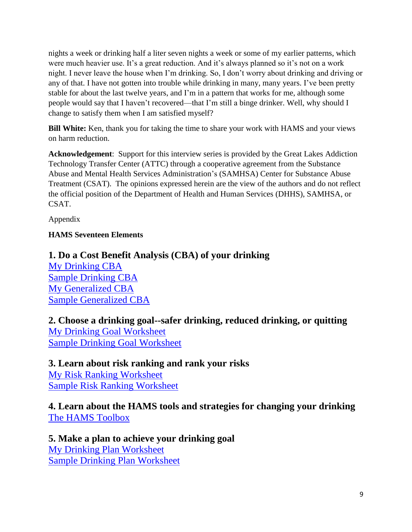nights a week or drinking half a liter seven nights a week or some of my earlier patterns, which were much heavier use. It's a great reduction. And it's always planned so it's not on a work night. I never leave the house when I'm drinking. So, I don't worry about drinking and driving or any of that. I have not gotten into trouble while drinking in many, many years. I've been pretty stable for about the last twelve years, and I'm in a pattern that works for me, although some people would say that I haven't recovered—that I'm still a binge drinker. Well, why should I change to satisfy them when I am satisfied myself?

**Bill White:** Ken, thank you for taking the time to share your work with HAMS and your views on harm reduction.

**Acknowledgement**: Support for this interview series is provided by the Great Lakes Addiction Technology Transfer Center (ATTC) through a cooperative agreement from the Substance Abuse and Mental Health Services Administration's (SAMHSA) Center for Substance Abuse Treatment (CSAT). The opinions expressed herein are the view of the authors and do not reflect the official position of the Department of Health and Human Services (DHHS), SAMHSA, or CSAT.

Appendix

## **HAMS Seventeen Elements**

# **1. Do a Cost Benefit Analysis (CBA) of your drinking**

[My Drinking CBA](http://www.hamsnetwork.org/mydrinkingcba.pdf) [Sample Drinking CBA](http://www.hamsnetwork.org/sampledrinkingcba.pdf) [My Generalized CBA](http://www.hamsnetwork.org/mygeneralizedcba.pdf) [Sample Generalized CBA](http://www.hamsnetwork.org/samplegeneralizedcba.pdf)

**2. Choose a drinking goal--safer drinking, reduced drinking, or quitting** [My Drinking Goal Worksheet](http://www.hamsnetwork.org/drinkinggoal.pdf) [Sample Drinking Goal Worksheet](http://www.hamsnetwork.org/sampledrinkinggoal.pdf)

# **3. Learn about risk ranking and rank your risks**

[My Risk Ranking Worksheet](http://www.hamsnetwork.org/risk.pdf) [Sample Risk Ranking Worksheet](http://www.hamsnetwork.org/risksample.pdf)

**4. Learn about the HAMS tools and strategies for changing your drinking** [The HAMS Toolbox](http://www.hamsnetwork.org/toolbox)

**5. Make a plan to achieve your drinking goal** [My Drinking Plan Worksheet](http://www.hamsnetwork.org/planworksheet.pdf) [Sample Drinking Plan Worksheet](http://www.hamsnetwork.org/sampleplanworksheet.pdf)